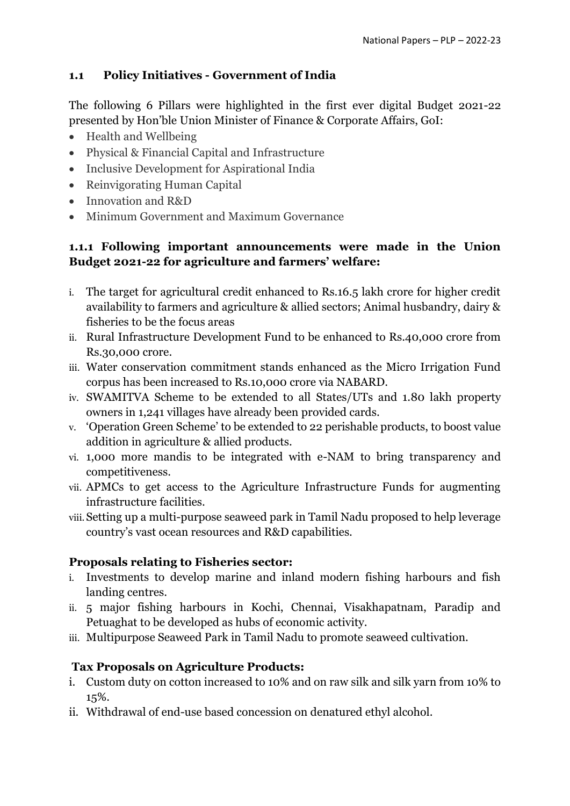## **1.1 Policy Initiatives - Government of India**

The following 6 Pillars were highlighted in the first ever digital Budget 2021-22 presented by Hon'ble Union Minister of Finance & Corporate Affairs, GoI:

- Health and Wellbeing
- Physical & Financial Capital and Infrastructure
- Inclusive Development for Aspirational India
- Reinvigorating Human Capital
- Innovation and R&D
- Minimum Government and Maximum Governance

## **1.1.1 Following important announcements were made in the Union Budget 2021-22 for agriculture and farmers' welfare:**

- i. The target for agricultural credit enhanced to Rs.16.5 lakh crore for higher credit availability to farmers and agriculture & allied sectors; Animal husbandry, dairy & fisheries to be the focus areas
- ii. Rural Infrastructure Development Fund to be enhanced to Rs.40,000 crore from Rs.30,000 crore.
- iii. Water conservation commitment stands enhanced as the Micro Irrigation Fund corpus has been increased to Rs.10,000 crore via NABARD.
- iv. SWAMITVA Scheme to be extended to all States/UTs and 1.80 lakh property owners in 1,241 villages have already been provided cards.
- v. 'Operation Green Scheme' to be extended to 22 perishable products, to boost value addition in agriculture & allied products.
- vi. 1,000 more mandis to be integrated with e-NAM to bring transparency and competitiveness.
- vii. APMCs to get access to the Agriculture Infrastructure Funds for augmenting infrastructure facilities.
- viii.Setting up a multi-purpose seaweed park in Tamil Nadu proposed to help leverage country's vast ocean resources and R&D capabilities.

### **Proposals relating to Fisheries sector:**

- i. Investments to develop marine and inland modern fishing harbours and fish landing centres.
- ii. 5 major fishing harbours in Kochi, Chennai, Visakhapatnam, Paradip and Petuaghat to be developed as hubs of economic activity.
- iii. Multipurpose Seaweed Park in Tamil Nadu to promote seaweed cultivation.

# **Tax Proposals on Agriculture Products:**

- i. Custom duty on cotton increased to 10% and on raw silk and silk yarn from 10% to 15%.
- ii. Withdrawal of end-use based concession on denatured ethyl alcohol.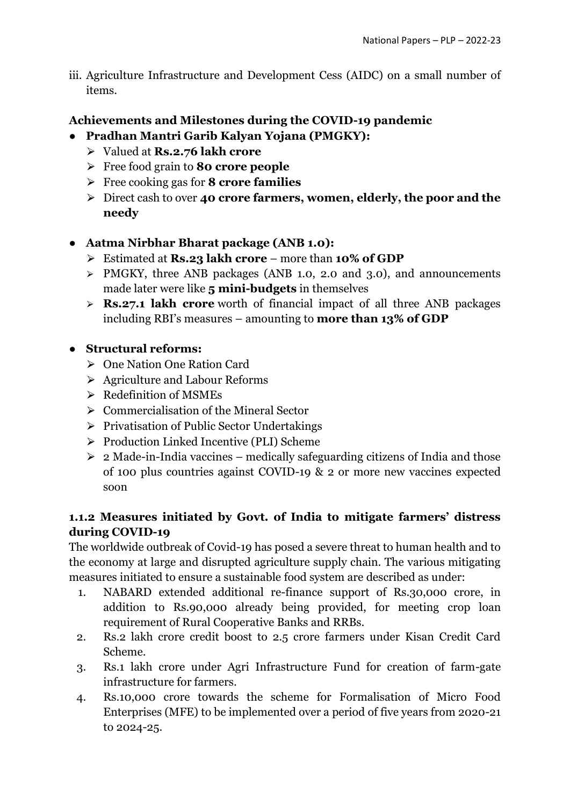iii. Agriculture Infrastructure and Development Cess (AIDC) on a small number of items.

## **Achievements and Milestones during the COVID-19 pandemic**

- **Pradhan Mantri Garib Kalyan Yojana (PMGKY):**
	- ⮚ Valued at **Rs.2.76 lakh crore**
	- ⮚ Free food grain to **80 crore people**
	- ⮚ Free cooking gas for **8 crore families**
	- ⮚ Direct cash to over **40 crore farmers, women, elderly, the poor and the needy**

### ● **Aatma Nirbhar Bharat package (ANB 1.0):**

- ⮚ Estimated at **Rs.23 lakh crore** more than **10% of GDP**
- > PMGKY, three ANB packages (ANB 1.0, 2.0 and 3.0), and announcements made later were like **5 mini-budgets** in themselves
- ⮚ **Rs.27.1 lakh crore** worth of financial impact of all three ANB packages including RBI's measures – amounting to **more than 13% of GDP**

## ● **Structural reforms:**

- ⮚ One Nation One Ration Card
- ⮚ Agriculture and Labour Reforms
- $\triangleright$  Redefinition of MSMEs
- $\triangleright$  Commercialisation of the Mineral Sector
- $\triangleright$  Privatisation of Public Sector Undertakings
- ⮚ Production Linked Incentive (PLI) Scheme
- $\geq 2$  Made-in-India vaccines medically safeguarding citizens of India and those of 100 plus countries against COVID-19 & 2 or more new vaccines expected soon

## **1.1.2 Measures initiated by Govt. of India to mitigate farmers' distress during COVID-19**

The worldwide outbreak of Covid-19 has posed a severe threat to human health and to the economy at large and disrupted agriculture supply chain. The various mitigating measures initiated to ensure a sustainable food system are described as under:

- 1. NABARD extended additional re-finance support of Rs.30,000 crore, in addition to Rs.90,000 already being provided, for meeting crop loan requirement of Rural Cooperative Banks and RRBs.
- 2. Rs.2 lakh crore credit boost to 2.5 crore farmers under Kisan Credit Card Scheme.
- 3. Rs.1 lakh crore under Agri Infrastructure Fund for creation of farm-gate infrastructure for farmers.
- 4. Rs.10,000 crore towards the scheme for Formalisation of Micro Food Enterprises (MFE) to be implemented over a period of five years from 2020-21 to 2024-25.